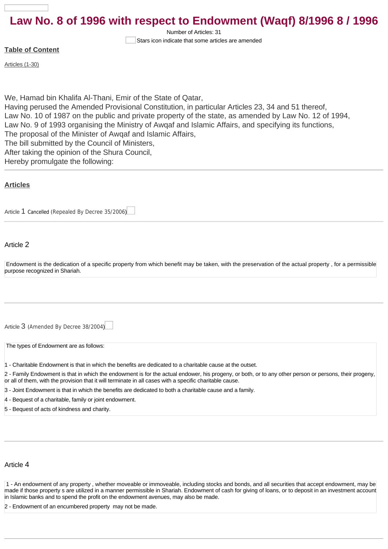# **Law No. 8 of 1996 with respect to Endowment (Waqf) 8/1996 8 / 1996**

Number of Articles: 31 Stars icon indicate that some articles are amended

#### **Table of Content**

[Articles \(1-30\)](#page-0-0)

We, Hamad bin Khalifa Al-Thani, Emir of the State of Qatar, Having perused the Amended Provisional Constitution, in particular Articles 23, 34 and 51 thereof, Law No. 10 of 1987 on the public and private property of the state, as amended by Law No. 12 of 1994, Law No. 9 of 1993 organising the Ministry of Awqaf and Islamic Affairs, and specifying its functions, The proposal of the Minister of Awqaf and Islamic Affairs, The bill submitted by the Council of Ministers, After taking the opinion of the Shura Council, Hereby promulgate the following:

#### <span id="page-0-0"></span>**[Articles](http://10.1.182.41/DownloadPage.aspx?Target=All&type=2&lawID=3988&language=en#)**

[Article](http://10.1.182.41/LawArticles.aspx?LawArticleID=53865&lawId=3988&language=en) [1](http://10.1.182.41/LawArticles.aspx?LawArticleID=53865&lawId=3988&language=en) Cancelled ([Repealed By Decree 35/2006](http://10.1.182.41/LawPage.aspx?id=2715&language=en))

#### Article 2

Endowment is the dedication of a specific property from which benefit may be taken, with the preservation of the actual property , for a permissible purpose recognized in Shariah.

[Article](http://10.1.182.41/LawArticles.aspx?LawArticleID=53867&lawId=3988&language=en) [3](http://10.1.182.41/LawArticles.aspx?LawArticleID=53867&lawId=3988&language=en) ([Amended By Decree 38/2004](http://10.1.182.41/LawPage.aspx?id=575&language=en))

The types of Endowment are as follows:

- 1 Charitable Endowment is that in which the benefits are dedicated to a charitable cause at the outset.
- 2 Family Endowment is that in which the endowment is for the actual endower, his progeny, or both, or to any other person or persons, their progeny, or all of them, with the provision that it will terminate in all cases with a specific charitable cause.
- 3 Joint Endowment is that in which the benefits are dedicated to both a charitable cause and a family.
- 4 Bequest of a charitable, family or joint endowment.

5 - Bequest of acts of kindness and charity.

#### Article 4

1 - An endowment of any property , whether moveable or immoveable, including stocks and bonds, and all securities that accept endowment, may be made if those property s are utilized in a manner permissible in Shariah. Endowment of cash for giving of loans, or to deposit in an investment accoun in Islamic banks and to spend the profit on the endowment avenues, may also be made.

Endowment of an encumbered property may not be made.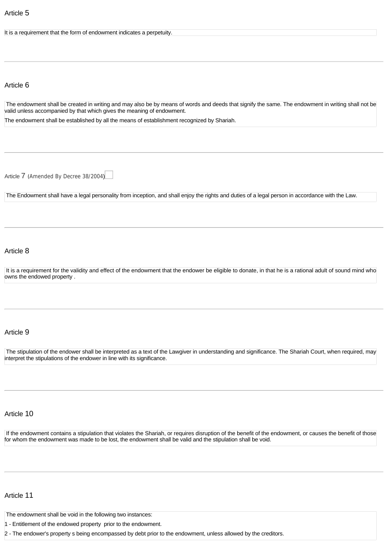#### It is a requirement that the form of endowment indicates a perpetuity

## Article 6

The endowment shall be created in writing and may also be by means of words and deeds that signify the same. The endowment in writing shall not be valid unless accompanied by that which gives the meaning of endowment.

The endowment shall be established by all the means of establishment recognized by Shariah.

[Article](http://10.1.182.41/LawArticles.aspx?LawArticleID=53872&lawId=3988&language=en) [7](http://10.1.182.41/LawArticles.aspx?LawArticleID=53872&lawId=3988&language=en) ([Amended By Decree 38/2004](http://10.1.182.41/LawPage.aspx?id=575&language=en))

The Endowment shall have a legal personality from inception, and shall enjoy the rights and duties of a legal person in accordance with the Law.

#### Article 8

It is a requirement for the validity and effect of the endowment that the endower be eligible to donate, in that he is a rational adult of sound mind who owns the endowed property .

#### Article 9

The stipulation of the endower shall be interpreted as a text of the Lawgiver in understanding and significance. The Shariah Court, when required, may interpret the stipulations of the endower in line with its significance.

#### Article 10

If the endowment contains a stipulation that violates the Shariah, or requires disruption of the benefit of the endowment, or causes the benefit of those for whom the endowment was made to be lost, the endowment shall be valid and the stipulation shall be void.

#### Article 11

The endowment shall be void in the following two instances:

1 - Entitlement of the endowed property prior to the endowment.

2 - The endower's property s being encompassed by debt prior to the endowment, unless allowed by the creditors.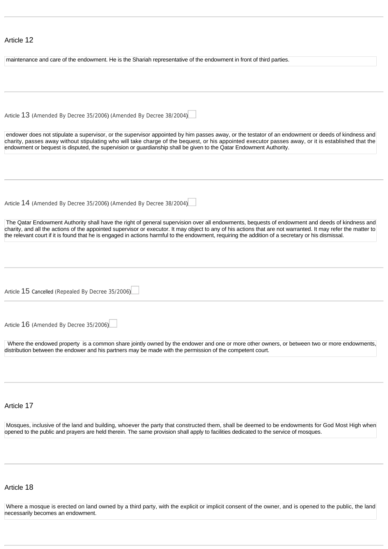## Article 12

| maintenance and care of the endowment. He is the Shariah representative of the endowment in front of third parties.                                                                                                                                                                                                                                                                                                                                                 |
|---------------------------------------------------------------------------------------------------------------------------------------------------------------------------------------------------------------------------------------------------------------------------------------------------------------------------------------------------------------------------------------------------------------------------------------------------------------------|
|                                                                                                                                                                                                                                                                                                                                                                                                                                                                     |
|                                                                                                                                                                                                                                                                                                                                                                                                                                                                     |
|                                                                                                                                                                                                                                                                                                                                                                                                                                                                     |
|                                                                                                                                                                                                                                                                                                                                                                                                                                                                     |
| Article 13 (Amended By Decree 35/2006) (Amended By Decree 38/2004)                                                                                                                                                                                                                                                                                                                                                                                                  |
|                                                                                                                                                                                                                                                                                                                                                                                                                                                                     |
|                                                                                                                                                                                                                                                                                                                                                                                                                                                                     |
| endower does not stipulate a supervisor, or the supervisor appointed by him passes away, or the testator of an endowment or deeds of kindness and<br>charity, passes away without stipulating who will take charge of the bequest, or his appointed executor passes away, or it is established that the<br>endowment or bequest is disputed, the supervision or guardianship shall be given to the Qatar Endowment Authority.                                       |
|                                                                                                                                                                                                                                                                                                                                                                                                                                                                     |
|                                                                                                                                                                                                                                                                                                                                                                                                                                                                     |
|                                                                                                                                                                                                                                                                                                                                                                                                                                                                     |
| Article 14 (Amended By Decree 35/2006) (Amended By Decree 38/2004)                                                                                                                                                                                                                                                                                                                                                                                                  |
| The Qatar Endowment Authority shall have the right of general supervision over all endowments, bequests of endowment and deeds of kindness and<br>charity, and all the actions of the appointed supervisor or executor. It may object to any of his actions that are not warranted. It may refer the matter to<br>the relevant court if it is found that he is engaged in actions harmful to the endowment, requiring the addition of a secretary or his dismissal. |
|                                                                                                                                                                                                                                                                                                                                                                                                                                                                     |
|                                                                                                                                                                                                                                                                                                                                                                                                                                                                     |
|                                                                                                                                                                                                                                                                                                                                                                                                                                                                     |
|                                                                                                                                                                                                                                                                                                                                                                                                                                                                     |
|                                                                                                                                                                                                                                                                                                                                                                                                                                                                     |
|                                                                                                                                                                                                                                                                                                                                                                                                                                                                     |
| Article 15 Cancelled (Repealed By Decree 35/2006)                                                                                                                                                                                                                                                                                                                                                                                                                   |
|                                                                                                                                                                                                                                                                                                                                                                                                                                                                     |
|                                                                                                                                                                                                                                                                                                                                                                                                                                                                     |
| Article 16 (Amended By Decree 35/2006)                                                                                                                                                                                                                                                                                                                                                                                                                              |
|                                                                                                                                                                                                                                                                                                                                                                                                                                                                     |
| Where the endowed property is a common share jointly owned by the endower and one or more other owners, or between two or more endowments,<br>distribution between the endower and his partners may be made with the permission of the competent court.                                                                                                                                                                                                             |
|                                                                                                                                                                                                                                                                                                                                                                                                                                                                     |
|                                                                                                                                                                                                                                                                                                                                                                                                                                                                     |
|                                                                                                                                                                                                                                                                                                                                                                                                                                                                     |
|                                                                                                                                                                                                                                                                                                                                                                                                                                                                     |
|                                                                                                                                                                                                                                                                                                                                                                                                                                                                     |
| Article 17                                                                                                                                                                                                                                                                                                                                                                                                                                                          |
|                                                                                                                                                                                                                                                                                                                                                                                                                                                                     |
| Mosques, inclusive of the land and building, whoever the party that constructed them, shall be deemed to be endowments for God Most High when                                                                                                                                                                                                                                                                                                                       |
| opened to the public and prayers are held therein. The same provision shall apply to facilities dedicated to the service of mosques.                                                                                                                                                                                                                                                                                                                                |
|                                                                                                                                                                                                                                                                                                                                                                                                                                                                     |

#### Article 18

Where a mosque is erected on land owned by a third party, with the explicit or implicit consent of the owner, and is opened to the public, the land necessarily becomes an endowment.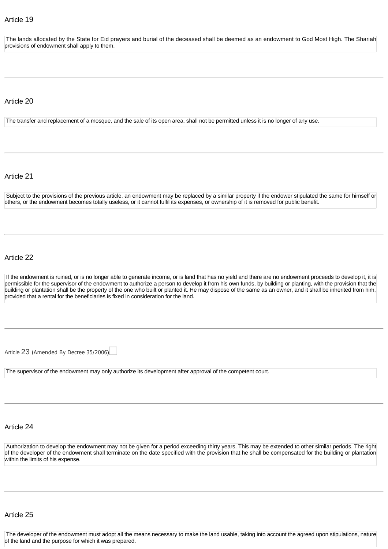The lands allocated by the State for Eid prayers and burial of the deceased shall be deemed as an endowment to God Most High. The Shariah provisions of endowment shall apply to them.

#### Article 20

The transfer and replacement of a mosque, and the sale of its open area, shall not be permitted unless it is no longer of any use.

#### Article 21

Subject to the provisions of the previous article, an endowment may be replaced by a similar property if the endower stipulated the same for himself or others, or the endowment becomes totally useless, or it cannot fulfil its expenses, or ownership of it is removed for public benefit.

#### Article 22

If the endowment is ruined, or is no longer able to generate income, or is land that has no yield and there are no endowment proceeds to develop it, it is permissible for the supervisor of the endowment to authorize a person to develop it from his own funds, by building or planting, with the provision that the building or plantation shall be the property of the one who built or planted it. He may dispose of the same as an owner, and it shall be inherited from him, provided that a rental for the beneficiaries is fixed in consideration for the land.

[Article](http://10.1.182.41/LawArticles.aspx?LawArticleID=53895&lawId=3988&language=en) [23](http://10.1.182.41/LawArticles.aspx?LawArticleID=53895&lawId=3988&language=en) ([Amended By Decree 35/2006](http://10.1.182.41/LawPage.aspx?id=2715&language=en))

The supervisor of the endowment may only authorize its development after approval of the competent court.

## Article 24

Authorization to develop the endowment may not be given for a period exceeding thirty years. This may be extended to other similar periods. The right of the developer of the endowment shall terminate on the date specified with the provision that he shall be compensated for the building or plantatior within the limits of his expense.

#### Article 25

The developer of the endowment must adopt all the means necessary to make the land usable, taking into account the agreed upon stipulations, nature of the land and the purpose for which it was prepared.